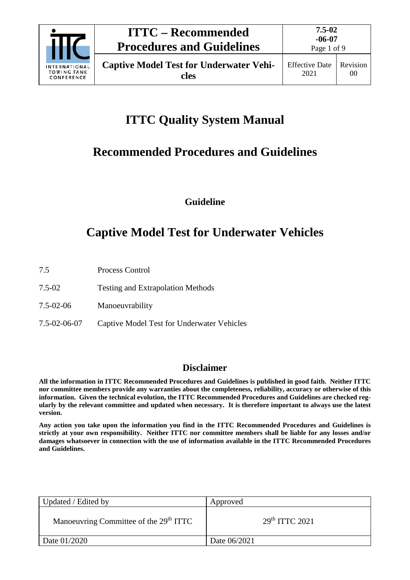

# **ITTC Quality System Manual**

## **Recommended Procedures and Guidelines**

**Guideline**

# **Captive Model Test for Underwater Vehicles**

- 7.5 Process Control
- 7.5-02 Testing and Extrapolation Methods
- 7.5-02-06 Manoeuvrability
- 7.5-02-06-07 Captive Model Test for Underwater Vehicles

### **Disclaimer**

**All the information in ITTC Recommended Procedures and Guidelines is published in good faith. Neither ITTC nor committee members provide any warranties about the completeness, reliability, accuracy or otherwise of this information. Given the technical evolution, the ITTC Recommended Procedures and Guidelines are checked regularly by the relevant committee and updated when necessary. It is therefore important to always use the latest version.**

**Any action you take upon the information you find in the ITTC Recommended Procedures and Guidelines is strictly at your own responsibility. Neither ITTC nor committee members shall be liable for any losses and/or damages whatsoever in connection with the use of information available in the ITTC Recommended Procedures and Guidelines.**

| Updated / Edited by                                | Approved                  |
|----------------------------------------------------|---------------------------|
| Manoeuvring Committee of the 29 <sup>th</sup> ITTC | 29 <sup>th</sup> TTC 2021 |
| Date 01/2020                                       | Date 06/2021              |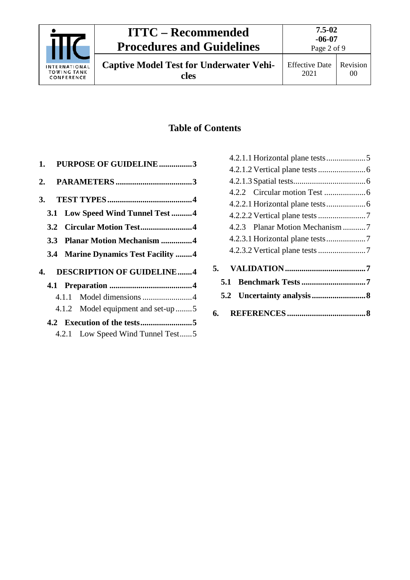

### **ITTC – Recommended Procedures and Guidelines**

**7.5-02 -06-07** Page 2 of 9

**Captive Model Test for Underwater Vehicles**

### **Table of Contents**

|  | 1. PURPOSE OF GUIDELINE3                   |  |
|--|--------------------------------------------|--|
|  |                                            |  |
|  |                                            |  |
|  | 3.1 Low Speed Wind Tunnel Test 4           |  |
|  | 3.2 Circular Motion Test4                  |  |
|  | 3.3 Planar Motion Mechanism 4              |  |
|  | <b>3.4 Marine Dynamics Test Facility 4</b> |  |
|  | 4. DESCRIPTION OF GUIDELINE4               |  |
|  |                                            |  |
|  |                                            |  |
|  | 4.1.2 Model equipment and set-up 5         |  |
|  |                                            |  |
|  | 4.2.1 Low Speed Wind Tunnel Test5          |  |

| 5.  |  |
|-----|--|
| 5.1 |  |
|     |  |
|     |  |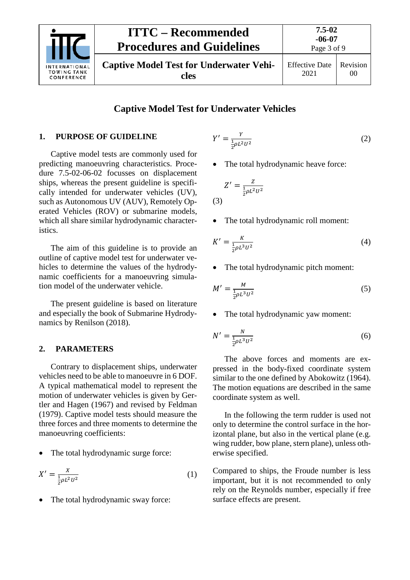

#### **Captive Model Test for Underwater Vehicles**

#### <span id="page-2-0"></span>**1. PURPOSE OF GUIDELINE**

Captive model tests are commonly used for predicting manoeuvring characteristics. Procedure 7.5-02-06-02 focusses on displacement ships, whereas the present guideline is specifically intended for underwater vehicles (UV), such as Autonomous UV (AUV), Remotely Operated Vehicles (ROV) or submarine models, which all share similar hydrodynamic characteristics.

The aim of this guideline is to provide an outline of captive model test for underwater vehicles to determine the values of the hydrodynamic coefficients for a manoeuvring simulation model of the underwater vehicle.

The present guideline is based on literature and especially the book of Submarine Hydrodynamics by Renilson (2018).

#### <span id="page-2-1"></span>**2. PARAMETERS**

Contrary to displacement ships, underwater vehicles need to be able to manoeuvre in 6 DOF. A typical mathematical model to represent the motion of underwater vehicles is given by Gertler and Hagen (1967) and revised by Feldman (1979). Captive model tests should measure the three forces and three moments to determine the manoeuvring coefficients:

The total hydrodynamic surge force:

$$
X' = \frac{x}{\frac{1}{2}\rho L^2 U^2} \tag{1}
$$

The total hydrodynamic sway force:

$$
Y' = \frac{Y}{\frac{1}{2}\rho L^2 U^2} \tag{2}
$$

The total hydrodynamic heave force:

$$
Z' = \frac{Z}{\frac{1}{2}\rho L^2 U^2}
$$
\n(3)

• The total hydrodynamic roll moment:

$$
K' = \frac{K}{\frac{1}{2}\rho L^3 U^2}
$$
 (4)

• The total hydrodynamic pitch moment:

$$
M' = \frac{M}{\frac{1}{2}\rho L^3 U^2} \tag{5}
$$

• The total hydrodynamic yaw moment:

$$
N' = \frac{N}{\frac{1}{2}\rho L^3 U^2}
$$
 (6)

The above forces and moments are expressed in the body-fixed coordinate system similar to the one defined by Abokowitz (1964). The motion equations are described in the same coordinate system as well.

In the following the term rudder is used not only to determine the control surface in the horizontal plane, but also in the vertical plane (e.g. wing rudder, bow plane, stern plane), unless otherwise specified.

Compared to ships, the Froude number is less important, but it is not recommended to only rely on the Reynolds number, especially if free surface effects are present.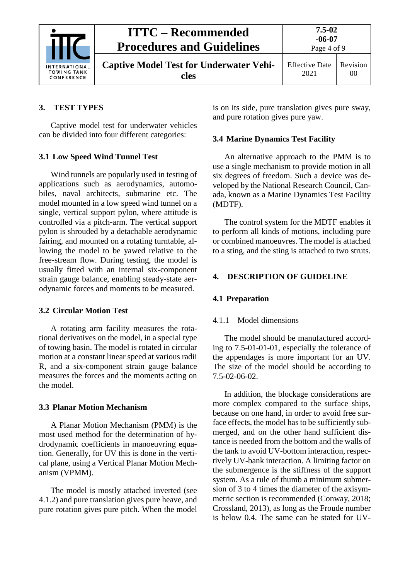|                                                          | <b>ITTC – Recommended</b><br><b>Procedures and Guidelines</b> | 7.5-02<br>$-06-07$<br>Page 4 of 9 |                            |
|----------------------------------------------------------|---------------------------------------------------------------|-----------------------------------|----------------------------|
| <b>INTERNATIONAL</b><br><b>TOWING TANK</b><br>CONFERENCE | <b>Captive Model Test for Underwater Vehi-</b><br>cles        | <b>Effective Date</b><br>2021     | Revision<br>0 <sup>0</sup> |

#### <span id="page-3-0"></span>**3. TEST TYPES**

Captive model test for underwater vehicles can be divided into four different categories:

#### <span id="page-3-1"></span>**3.1 Low Speed Wind Tunnel Test**

Wind tunnels are popularly used in testing of applications such as aerodynamics, automobiles, naval architects, submarine etc. The model mounted in a low speed wind tunnel on a single, vertical support pylon, where attitude is controlled via a pitch-arm. The vertical support pylon is shrouded by a detachable aerodynamic fairing, and mounted on a rotating turntable, allowing the model to be yawed relative to the free-stream flow. During testing, the model is usually fitted with an internal six-component strain gauge balance, enabling steady-state aerodynamic forces and moments to be measured.

#### <span id="page-3-2"></span>**3.2 Circular Motion Test**

A rotating arm facility measures the rotational derivatives on the model, in a special type of towing basin. The model is rotated in circular motion at a constant linear speed at various radii R, and a six-component strain gauge balance measures the forces and the moments acting on the model.

#### <span id="page-3-3"></span>**3.3 Planar Motion Mechanism**

A Planar Motion Mechanism (PMM) is the most used method for the determination of hydrodynamic coefficients in manoeuvring equation. Generally, for UV this is done in the vertical plane, using a Vertical Planar Motion Mechanism (VPMM).

The model is mostly attached inverted (see [4.1.2\)](#page-4-0) and pure translation gives pure heave, and pure rotation gives pure pitch. When the model is on its side, pure translation gives pure sway, and pure rotation gives pure yaw.

#### <span id="page-3-4"></span>**3.4 Marine Dynamics Test Facility**

An alternative approach to the PMM is to use a single mechanism to provide motion in all six degrees of freedom. Such a device was developed by the National Research Council, Canada, known as a Marine Dynamics Test Facility (MDTF).

The control system for the MDTF enables it to perform all kinds of motions, including pure or combined manoeuvres. The model is attached to a sting, and the sting is attached to two struts.

#### <span id="page-3-6"></span><span id="page-3-5"></span>**4. DESCRIPTION OF GUIDELINE**

#### <span id="page-3-7"></span>**4.1 Preparation**

#### 4.1.1 Model dimensions

The model should be manufactured according to 7.5-01-01-01, especially the tolerance of the appendages is more important for an UV. The size of the model should be according to 7.5-02-06-02.

In addition, the blockage considerations are more complex compared to the surface ships, because on one hand, in order to avoid free surface effects, the model has to be sufficiently submerged, and on the other hand sufficient distance is needed from the bottom and the walls of the tank to avoid UV-bottom interaction, respectively UV-bank interaction. A limiting factor on the submergence is the stiffness of the support system. As a rule of thumb a minimum submersion of 3 to 4 times the diameter of the axisymmetric section is recommended (Conway, 2018; Crossland, 2013), as long as the Froude number is below 0.4. The same can be stated for UV-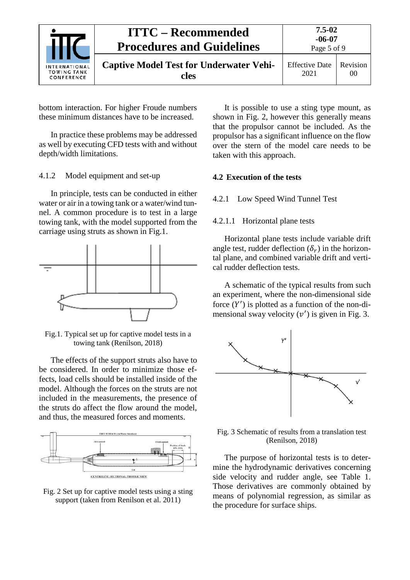| <b>ITTC – Recommended</b><br><b>Procedures and Guidelines</b> |                                                        | $7.5 - 02$<br>$-06-07$<br>Page 5 of 9 |                            |
|---------------------------------------------------------------|--------------------------------------------------------|---------------------------------------|----------------------------|
| <b>INTERNATIONAL</b><br><b>TOWING TANK</b><br>CONFERENCE      | <b>Captive Model Test for Underwater Vehi-</b><br>cles | <b>Effective Date</b><br>2021         | Revision<br>0 <sup>0</sup> |

bottom interaction. For higher Froude numbers these minimum distances have to be increased.

In practice these problems may be addressed as well by executing CFD tests with and without depth/width limitations.

<span id="page-4-0"></span>4.1.2 Model equipment and set-up

In principle, tests can be conducted in either water or air in a towing tank or a water/wind tunnel. A common procedure is to test in a large towing tank, with the model supported from the carriage using struts as shown in Fig.1.



Fig.1. Typical set up for captive model tests in a towing tank (Renilson, 2018)

The effects of the support struts also have to be considered. In order to minimize those effects, load cells should be installed inside of the model. Although the forces on the struts are not included in the measurements, the presence of the struts do affect the flow around the model, and thus, the measured forces and moments.



Fig. 2 Set up for captive model tests using a sting support (taken from Renilson et al. 2011)

It is possible to use a sting type mount, as shown in Fig. 2, however this generally means that the propulsor cannot be included. As the propulsor has a significant influence on the flow over the stern of the model care needs to be taken with this approach.

#### <span id="page-4-2"></span><span id="page-4-1"></span>**4.2 Execution of the tests**

#### <span id="page-4-3"></span>4.2.1 Low Speed Wind Tunnel Test

#### 4.2.1.1 Horizontal plane tests

Horizontal plane tests include variable drift angle test, rudder deflection  $(\delta_r)$  in the horizontal plane, and combined variable drift and vertical rudder deflection tests.

A schematic of the typical results from such an experiment, where the non-dimensional side force  $(Y')$  is plotted as a function of the non-dimensional sway velocity  $(v')$  is given in Fig. 3.



Fig. 3 Schematic of results from a translation test (Renilson, 2018)

The purpose of horizontal tests is to determine the hydrodynamic derivatives concerning side velocity and rudder angle, see Table 1. Those derivatives are commonly obtained by means of polynomial regression, as similar as the procedure for surface ships.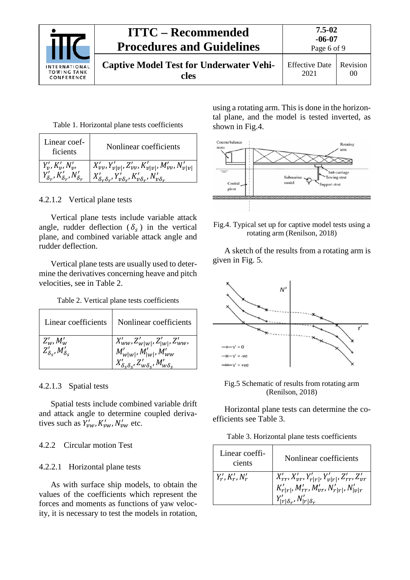|                                                          | <b>ITTC – Recommended</b><br><b>Procedures and Guidelines</b> | 7.5-02<br>$-06-07$<br>Page 6 of 9 |                            |
|----------------------------------------------------------|---------------------------------------------------------------|-----------------------------------|----------------------------|
| <b>INTERNATIONAL</b><br><b>TOWING TANK</b><br>CONFERENCE | <b>Captive Model Test for Underwater Vehi-</b><br>cles        | <b>Effective Date</b><br>2021     | Revision<br>0 <sup>0</sup> |

|  |  |  | Table 1. Horizontal plane tests coefficients |
|--|--|--|----------------------------------------------|
|--|--|--|----------------------------------------------|

| Linear coef-<br>ficients                      | Nonlinear coefficients                                                               |
|-----------------------------------------------|--------------------------------------------------------------------------------------|
| $Y'_{v}, K'_{v}, N'_{v},$                     | $X'_{\nu\nu}, Y'_{\nu \nu }, Z'_{\nu\nu}, K'_{\nu \nu }, M'_{\nu\nu}, N'_{\nu \nu }$ |
| $Y'_{\delta_r}, K'_{\delta_r}, N'_{\delta_r}$ | $X'_{\delta_r\delta_r}, Y'_{\nu\delta_r}, K'_{\nu\delta_r}, N'_{\nu\delta_r}$        |

<span id="page-5-0"></span>4.2.1.2 Vertical plane tests

Vertical plane tests include variable attack angle, rudder deflection ( $\delta_s$ ) in the vertical plane, and combined variable attack angle and rudder deflection.

Vertical plane tests are usually used to determine the derivatives concerning heave and pitch velocities, see in Table 2.

Table 2. Vertical plane tests coefficients

| Linear coefficients                                  | Nonlinear coefficients                                                                                                                   |
|------------------------------------------------------|------------------------------------------------------------------------------------------------------------------------------------------|
| $Z'_w$ , $M'_w$<br>$Z'_{\delta_S}$ , $M'_{\delta_S}$ | $X'_{ww}, Z'_{w w }, Z'_{ w }, Z'_{ww},$<br>$M'_{w w }, M'_{ w }, M'_{ww}$<br>$X'_{\delta_S \delta_S}, Z'_{w \delta_S}, M'_{w \delta_S}$ |

#### <span id="page-5-1"></span>4.2.1.3 Spatial tests

Spatial tests include combined variable drift and attack angle to determine coupled derivatives such as  $Y'_{vw}$ ,  $K'_{vw}$ ,  $N'_{vw}$  etc.

#### <span id="page-5-3"></span><span id="page-5-2"></span>4.2.2 Circular motion Test

#### 4.2.2.1 Horizontal plane tests

As with surface ship models, to obtain the values of the coefficients which represent the forces and moments as functions of yaw velocity, it is necessary to test the models in rotation, using a rotating arm. This is done in the horizontal plane, and the model is tested inverted, as shown in Fig.4.



Fig.4. Typical set up for captive model tests using a rotating arm (Renilson, 2018)

A sketch of the results from a rotating arm is given in Fig. 5.



Fig.5 Schematic of results from rotating arm (Renilson, 2018)

Horizontal plane tests can determine the coefficients see Table 3.

Table 3. Horizontal plane tests coefficients

| Linear coeffi-<br>cients | Nonlinear coefficients                                                                                                                                    |
|--------------------------|-----------------------------------------------------------------------------------------------------------------------------------------------------------|
| $Y'_r, K'_r, N'_r$       | $X'_{rr}, X'_{vr}, Y'_{r r }, Y'_{r r }, Z'_{rr}, Z'_{vr}$<br>$K'_{r r }, M'_{rr}, M'_{vr}, N'_{r r }, N'_{ v r}$<br>$Y'_{ r \delta_r}, N'_{ r \delta_r}$ |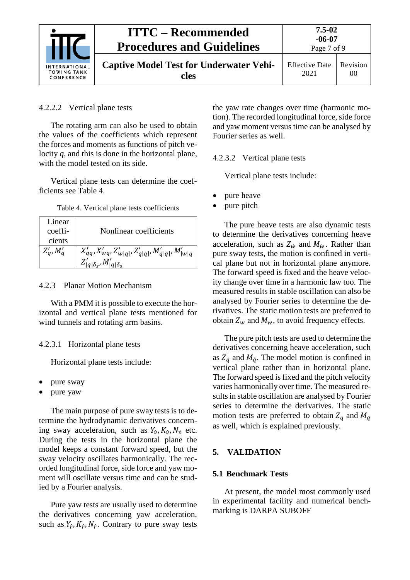

#### <span id="page-6-0"></span>4.2.2.2 Vertical plane tests

The rotating arm can also be used to obtain the values of the coefficients which represent the forces and moments as functions of pitch velocity  $q$ , and this is done in the horizontal plane, with the model tested on its side.

Vertical plane tests can determine the coefficients see Table 4.

| Table 4. Vertical plane tests coefficients |  |  |
|--------------------------------------------|--|--|
|--------------------------------------------|--|--|

| Linear<br>coeffi-<br>cients | Nonlinear coefficients                                                                                     |
|-----------------------------|------------------------------------------------------------------------------------------------------------|
| $Z'_q$ , $M'_q$             | $X'_{qq}, X'_{wq}, Z'_{w q }, Z'_{q q }, M'_{q q }, M'_{ w q}$<br>$Z'_{ q \delta_{s}}, M'_{ q \delta_{s}}$ |

#### <span id="page-6-1"></span>4.2.3 Planar Motion Mechanism

With a PMM it is possible to execute the horizontal and vertical plane tests mentioned for wind tunnels and rotating arm basins.

#### <span id="page-6-2"></span>4.2.3.1 Horizontal plane tests

Horizontal plane tests include:

- pure sway
- pure yaw

The main purpose of pure sway tests is to determine the hydrodynamic derivatives concerning sway acceleration, such as  $Y_{\dot{v}}$ ,  $K_{\dot{v}}$ ,  $N_{\dot{v}}$  etc. During the tests in the horizontal plane the model keeps a constant forward speed, but the sway velocity oscillates harmonically. The recorded longitudinal force, side force and yaw moment will oscillate versus time and can be studied by a Fourier analysis.

Pure yaw tests are usually used to determine the derivatives concerning yaw acceleration, such as  $Y_r$ ,  $K_r$ ,  $N_r$ . Contrary to pure sway tests

the yaw rate changes over time (harmonic motion). The recorded longitudinal force, side force and yaw moment versus time can be analysed by Fourier series as well.

<span id="page-6-3"></span>4.2.3.2 Vertical plane tests

Vertical plane tests include:

- pure heave
- pure pitch

The pure heave tests are also dynamic tests to determine the derivatives concerning heave acceleration, such as  $Z_{\dot{w}}$  and  $M_{\dot{w}}$ . Rather than pure sway tests, the motion is confined in vertical plane but not in horizontal plane anymore. The forward speed is fixed and the heave velocity change over time in a harmonic law too. The measured results in stable oscillation can also be analysed by Fourier series to determine the derivatives. The static motion tests are preferred to obtain  $Z_w$  and  $M_w$ , to avoid frequency effects.

The pure pitch tests are used to determine the derivatives concerning heave acceleration, such as  $Z_{\dot{q}}$  and  $M_{\dot{q}}$ . The model motion is confined in vertical plane rather than in horizontal plane. The forward speed is fixed and the pitch velocity varies harmonically over time. The measured results in stable oscillation are analysed by Fourier series to determine the derivatives. The static motion tests are preferred to obtain  $Z_q$  and  $M_q$ as well, which is explained previously.

#### <span id="page-6-5"></span><span id="page-6-4"></span>**5. VALIDATION**

#### **5.1 Benchmark Tests**

At present, the model most commonly used in experimental facility and numerical benchmarking is DARPA SUBOFF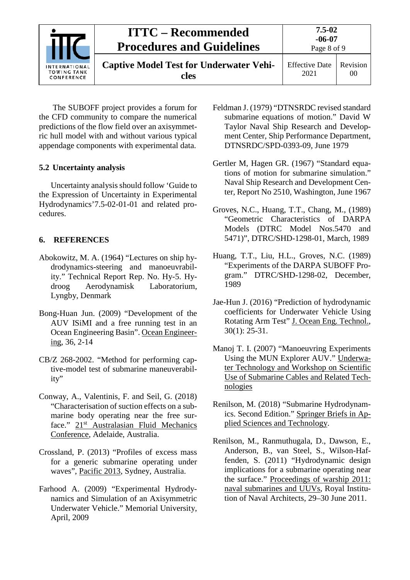| INTERNATIONAL<br><b>TOWING TANK</b><br>CONFERENCE | <b>ITTC – Recommended</b><br><b>Procedures and Guidelines</b> | 7.5-02<br>$-06-07$<br>Page 8 of 9 |                |
|---------------------------------------------------|---------------------------------------------------------------|-----------------------------------|----------------|
|                                                   | <b>Captive Model Test for Underwater Vehi-</b><br>cles        | <b>Effective Date</b><br>2021     | Revision<br>00 |

The SUBOFF project provides a forum for the CFD community to compare the numerical predictions of the flow field over an axisymmetric hull model with and without various typical appendage components with experimental data.

#### <span id="page-7-0"></span>**5.2 Uncertainty analysis**

Uncertainty analysis should follow 'Guide to the Expression of Uncertainty in Experimental Hydrodynamics'7.5-02-01-01 and related procedures.

#### <span id="page-7-1"></span>**6. REFERENCES**

- Abokowitz, M. A. (1964) "Lectures on ship hydrodynamics-steering and manoeuvrability." Technical Report Rep. No. Hy-5. Hy-<br>droog Aerodynamisk Laboratorium. droog Aerodynamisk Lyngby, Denmark
- [Bong-Huan](https://www.sciencedirect.com/science/article/pii/S0029801808001546#!) Jun. (2009) "Development of the AUV ISiMI and a free running test in an Ocean Engineering Basin". Ocean Engineering, 36, 2-14
- CB/Z 268-2002. "Method for performing captive-model test of submarine maneuverability"
- Conway, A., Valentinis, F. and Seil, G. (2018) "Characterisation of suction effects on a submarine body operating near the free surface." 21<sup>st</sup> Australasian Fluid Mechanics Conference, Adelaide, Australia.
- Crossland, P. (2013) "Profiles of excess mass for a generic submarine operating under waves", Pacific 2013, Sydney, Australia.
- Farhood A. (2009) "Experimental Hydrodynamics and Simulation of an Axisymmetric Underwater Vehicle." Memorial University, April, 2009
- Feldman J. (1979) "DTNSRDC revised standard submarine equations of motion." David W Taylor Naval Ship Research and Development Center, Ship Performance Department, DTNSRDC/SPD-0393-09, June 1979
- Gertler M, Hagen GR. (1967) "Standard equations of motion for submarine simulation." Naval Ship Research and Development Center, Report No 2510, Washington, June 1967
- Groves, N.C., Huang, T.T., Chang, M., (1989) "Geometric Characteristics of DARPA Models (DTRC Model Nos.5470 and 5471)", DTRC/SHD-1298-01, March, 1989
- Huang, T.T., Liu, H.L., Groves, N.C. (1989) "Experiments of the DARPA SUBOFF Program." DTRC/SHD-1298-02, December, 1989
- Jae-Hun J. (2016) "Prediction of hydrodynamic coefficients for Underwater Vehicle Using Rotating Arm Test" J. Ocean Eng. Technol., 30(1): 25-31.
- [Manoj T. I.](https://ieeexplore.ieee.org/search/searchresult.jsp?searchWithin=%22Authors%22:.QT.Manoj%20T.%20Issac.QT.&newsearch=true) (2007) "Manoeuvring Experiments Using the MUN Explorer AUV." [Underwa](https://ieeexplore.ieee.org/xpl/mostRecentIssue.jsp?punumber=4231073)[ter Technology and Workshop on Scientific](https://ieeexplore.ieee.org/xpl/mostRecentIssue.jsp?punumber=4231073)  [Use of Submarine Cables and Related Tech](https://ieeexplore.ieee.org/xpl/mostRecentIssue.jsp?punumber=4231073)[nologies](https://ieeexplore.ieee.org/xpl/mostRecentIssue.jsp?punumber=4231073)
- Renilson, M. (2018) "Submarine Hydrodynamics. Second Edition." Springer Briefs in Applied Sciences and Technology.
- Renilson, M., Ranmuthugala, D., Dawson, E., Anderson, B., van Steel, S., Wilson-Haffenden, S. (2011) "Hydrodynamic design implications for a submarine operating near the surface." Proceedings of warship 2011: naval submarines and UUVs, Royal Institution of Naval Architects, 29–30 June 2011.